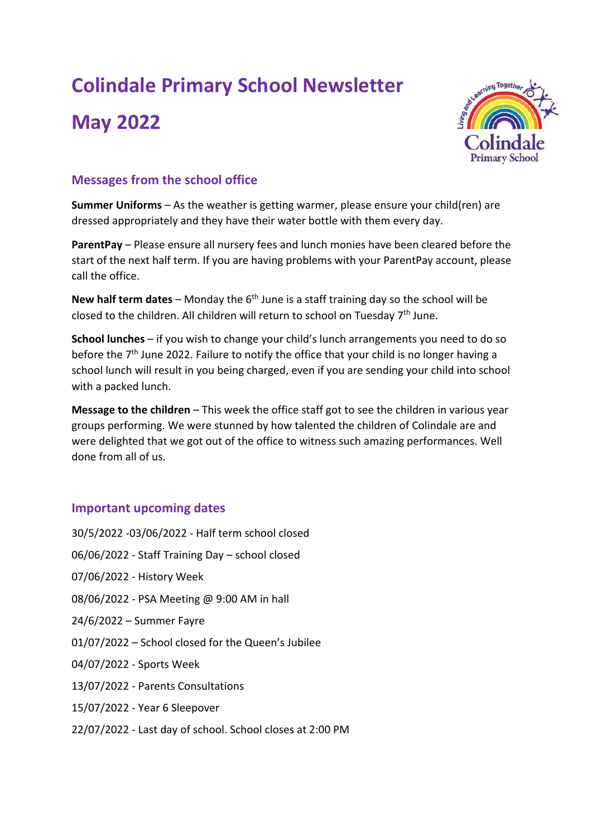# **Colindale Primary School Newsletter**

# **May 2022**



# **Messages from the school office**

**Summer Uniforms** – As the weather is getting warmer, please ensure your child(ren) are dressed appropriately and they have their water bottle with them every day.

**ParentPay** – Please ensure all nursery fees and lunch monies have been cleared before the start of the next half term. If you are having problems with your ParentPay account, please call the office.

**New half term dates** – Monday the 6th June is a staff training day so the school will be closed to the children. All children will return to school on Tuesday 7th June.

**School lunches** – if you wish to change your child's lunch arrangements you need to do so before the 7<sup>th</sup> June 2022. Failure to notify the office that your child is no longer having a school lunch will result in you being charged, even if you are sending your child into school with a packed lunch.

**Message to the children** – This week the office staff got to see the children in various year groups performing. We were stunned by how talented the children of Colindale are and were delighted that we got out of the office to witness such amazing performances. Well done from all of us.

# **Important upcoming dates**

30/5/2022 -03/06/2022 - Half term school closed 06/06/2022 - Staff Training Day – school closed 07/06/2022 - History Week 08/06/2022 - PSA Meeting @ 9:00 AM in hall 24/6/2022 – Summer Fayre 01/07/2022 – School closed for the Queen's Jubilee 04/07/2022 - Sports Week 13/07/2022 - Parents Consultations 15/07/2022 - Year 6 Sleepover 22/07/2022 - Last day of school. School closes at 2:00 PM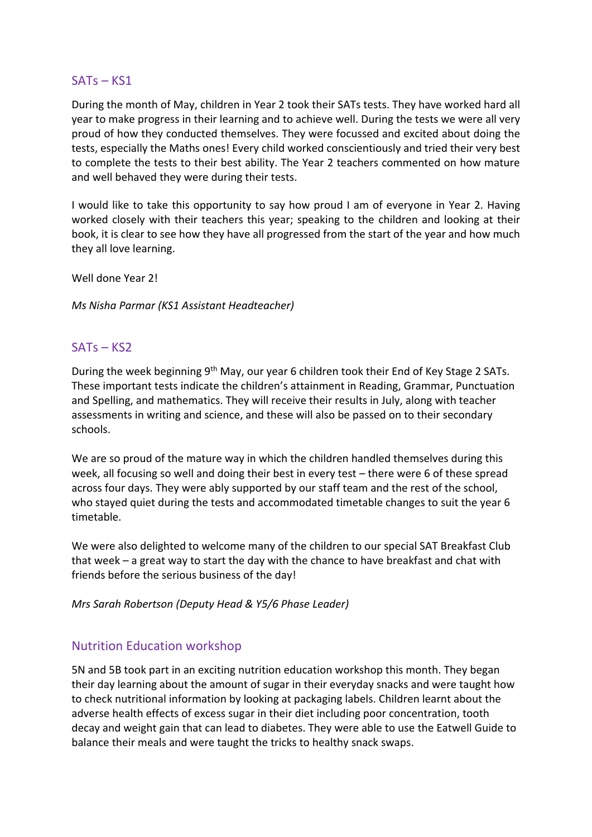#### SATs – KS1

During the month of May, children in Year 2 took their SATs tests. They have worked hard all year to make progress in their learning and to achieve well. During the tests we were all very proud of how they conducted themselves. They were focussed and excited about doing the tests, especially the Maths ones! Every child worked conscientiously and tried their very best to complete the tests to their best ability. The Year 2 teachers commented on how mature and well behaved they were during their tests.

I would like to take this opportunity to say how proud I am of everyone in Year 2. Having worked closely with their teachers this year; speaking to the children and looking at their book, it is clear to see how they have all progressed from the start of the year and how much they all love learning.

Well done Year 2!

*Ms Nisha Parmar (KS1 Assistant Headteacher)*

#### SATs – KS2

During the week beginning 9<sup>th</sup> May, our year 6 children took their End of Key Stage 2 SATs. These important tests indicate the children's attainment in Reading, Grammar, Punctuation and Spelling, and mathematics. They will receive their results in July, along with teacher assessments in writing and science, and these will also be passed on to their secondary schools.

We are so proud of the mature way in which the children handled themselves during this week, all focusing so well and doing their best in every test – there were 6 of these spread across four days. They were ably supported by our staff team and the rest of the school, who stayed quiet during the tests and accommodated timetable changes to suit the year 6 timetable.

We were also delighted to welcome many of the children to our special SAT Breakfast Club that week – a great way to start the day with the chance to have breakfast and chat with friends before the serious business of the day!

*Mrs Sarah Robertson (Deputy Head & Y5/6 Phase Leader)*

#### Nutrition Education workshop

5N and 5B took part in an exciting nutrition education workshop this month. They began their day learning about the amount of sugar in their everyday snacks and were taught how to check nutritional information by looking at packaging labels. Children learnt about the adverse health effects of excess sugar in their diet including poor concentration, tooth decay and weight gain that can lead to diabetes. They were able to use the Eatwell Guide to balance their meals and were taught the tricks to healthy snack swaps.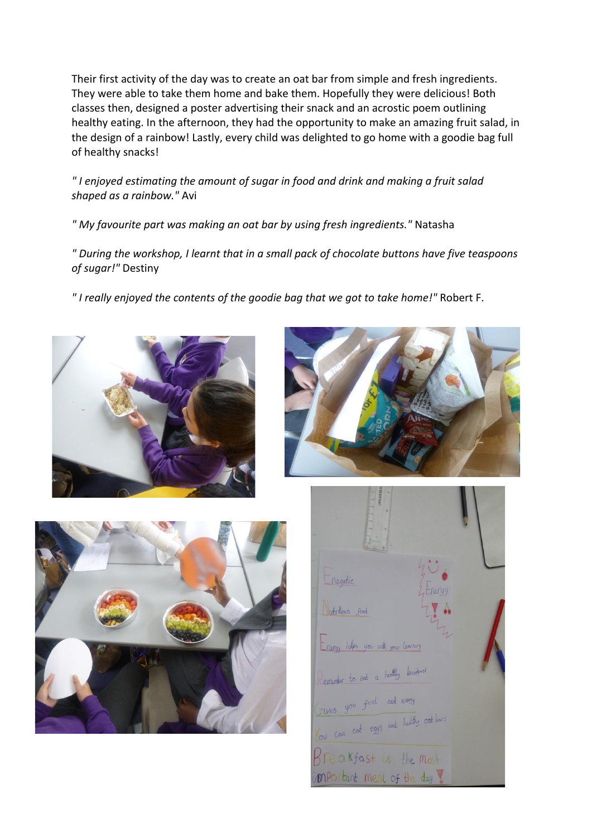Their first activity of the day was to create an oat bar from simple and fresh ingredients. They were able to take them home and bake them. Hopefully they were delicious! Both classes then, designed a poster advertising their snack and an acrostic poem outlining healthy eating. In the afternoon, they had the opportunity to make an amazing fruit salad, in the design of a rainbow! Lastly, every child was delighted to go home with a goodie bag full of healthy snacks!

*" I enjoyed estimating the amount of sugar in food and drink and making a fruit salad shaped as a rainbow."* Avi

*" My favourite part was making an oat bar by using fresh ingredients."* Natasha

*" During the workshop, I learnt that in a small pack of chocolate buttons have five teaspoons of sugar!"* Destiny

*" I really enjoyed the contents of the goodie bag that we got to take home!"* Robert F.







Inegetic Verticlients food nergy helps you with your learne entember to eat a healthy breatenest Fives you fiel and enorgy You can eat eggs and healthy out bars Breakfast is the most MPO Itant meal of the day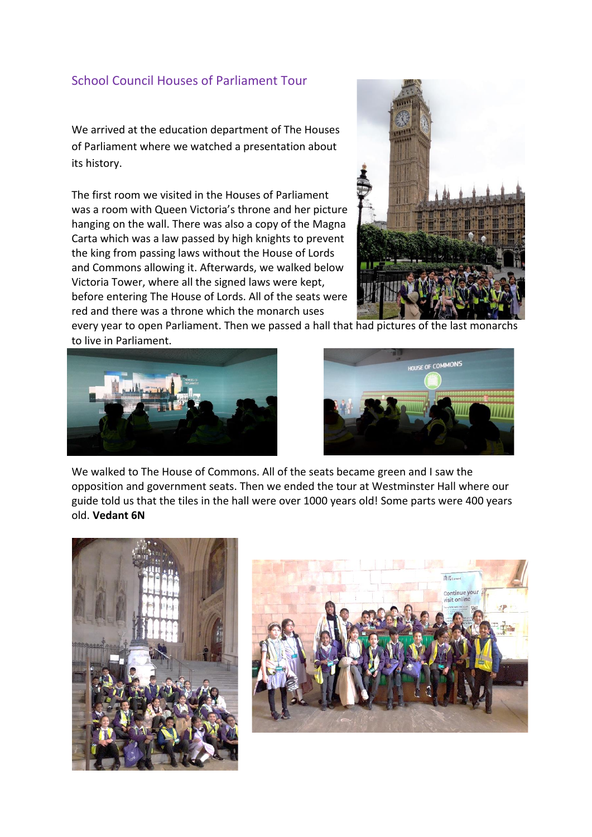### School Council Houses of Parliament Tour

We arrived at the education department of The Houses of Parliament where we watched a presentation about its history.

The first room we visited in the Houses of Parliament was a room with Queen Victoria's throne and her picture hanging on the wall. There was also a copy of the Magna Carta which was a law passed by high knights to prevent the king from passing laws without the House of Lords and Commons allowing it. Afterwards, we walked below Victoria Tower, where all the signed laws were kept, before entering The House of Lords. All of the seats were red and there was a throne which the monarch uses



every year to open Parliament. Then we passed a hall that had pictures of the last monarchs to live in Parliament.





We walked to The House of Commons. All of the seats became green and I saw the opposition and government seats. Then we ended the tour at Westminster Hall where our guide told us that the tiles in the hall were over 1000 years old! Some parts were 400 years old. **Vedant 6N**



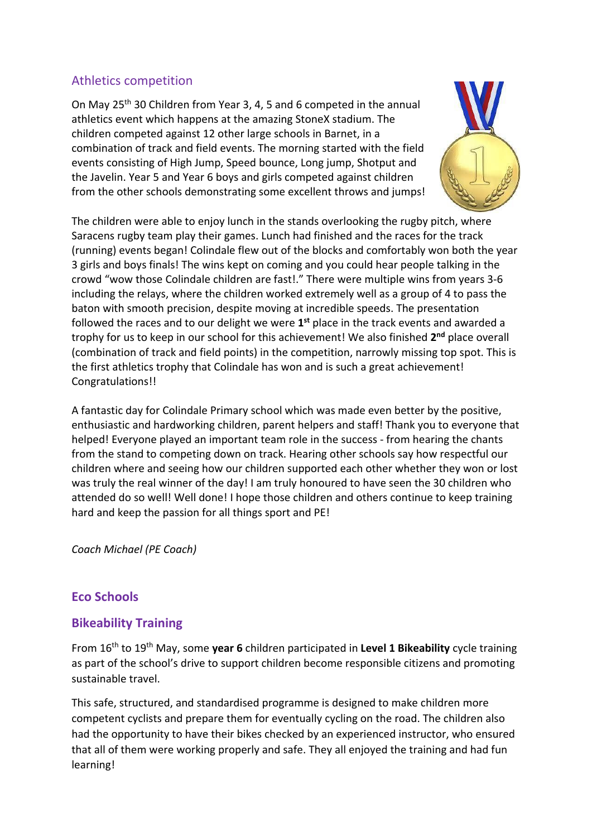### Athletics competition

On May 25th 30 Children from Year 3, 4, 5 and 6 competed in the annual athletics event which happens at the amazing StoneX stadium. The children competed against 12 other large schools in Barnet, in a combination of track and field events. The morning started with the field events consisting of High Jump, Speed bounce, Long jump, Shotput and the Javelin. Year 5 and Year 6 boys and girls competed against children from the other schools demonstrating some excellent throws and jumps!



The children were able to enjoy lunch in the stands overlooking the rugby pitch, where Saracens rugby team play their games. Lunch had finished and the races for the track (running) events began! Colindale flew out of the blocks and comfortably won both the year 3 girls and boys finals! The wins kept on coming and you could hear people talking in the crowd "wow those Colindale children are fast!." There were multiple wins from years 3-6 including the relays, where the children worked extremely well as a group of 4 to pass the baton with smooth precision, despite moving at incredible speeds. The presentation followed the races and to our delight we were 1<sup>st</sup> place in the track events and awarded a trophy for us to keep in our school for this achievement! We also finished **2 nd** place overall (combination of track and field points) in the competition, narrowly missing top spot. This is the first athletics trophy that Colindale has won and is such a great achievement! Congratulations!!

A fantastic day for Colindale Primary school which was made even better by the positive, enthusiastic and hardworking children, parent helpers and staff! Thank you to everyone that helped! Everyone played an important team role in the success - from hearing the chants from the stand to competing down on track. Hearing other schools say how respectful our children where and seeing how our children supported each other whether they won or lost was truly the real winner of the day! I am truly honoured to have seen the 30 children who attended do so well! Well done! I hope those children and others continue to keep training hard and keep the passion for all things sport and PE!

*Coach Michael (PE Coach)*

# **Eco Schools**

# **Bikeability Training**

From 16th to 19th May, some **year 6** children participated in **Level 1 Bikeability** cycle training as part of the school's drive to support children become responsible citizens and promoting sustainable travel.

This safe, structured, and standardised programme is designed to make children more competent cyclists and prepare them for eventually cycling on the road. The children also had the opportunity to have their bikes checked by an experienced instructor, who ensured that all of them were working properly and safe. They all enjoyed the training and had fun learning!